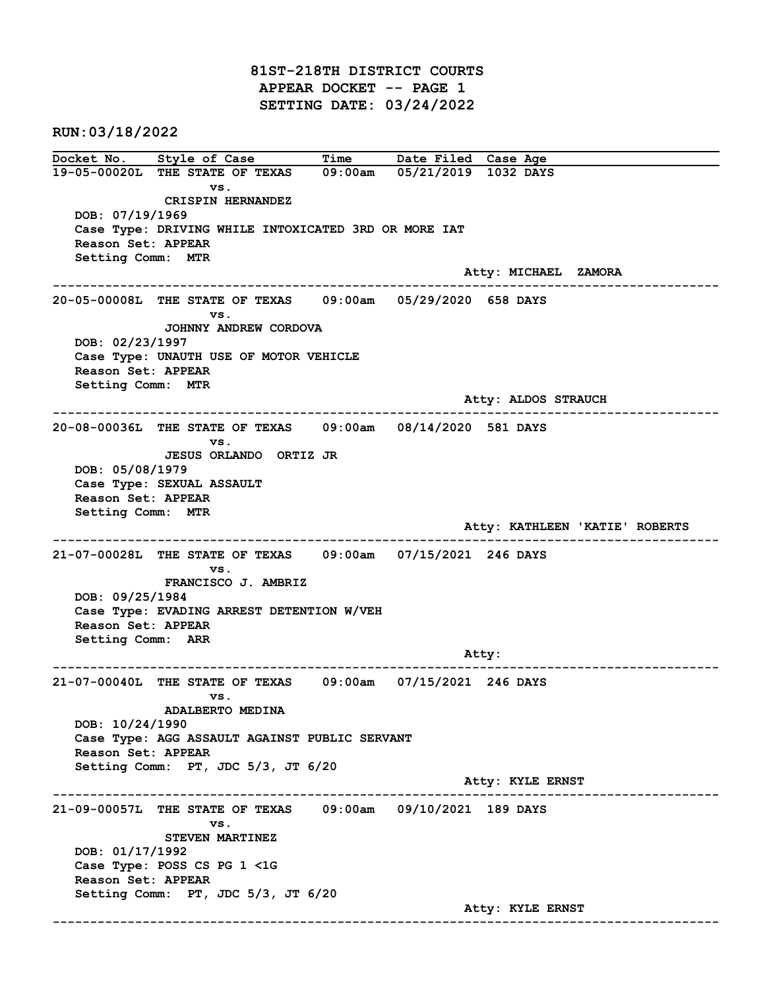81ST-218TH DISTRICT COURTS APPEAR DOCKET -- PAGE 1 SETTING DATE: 03/24/2022

RUN:03/18/2022

Docket No. Style of Case Time Date Filed Case Age 19-05-00020L THE STATE OF TEXAS 09:00am 05/21/2019 1032 DAYS vs. CRISPIN HERNANDEZ DOB: 07/19/1969 Case Type: DRIVING WHILE INTOXICATED 3RD OR MORE IAT Reason Set: APPEAR Setting Comm: MTR Atty: MICHAEL ZAMORA ------------------------------------------------------------------------------------------------------------------------ 20-05-00008L THE STATE OF TEXAS 09:00am 05/29/2020 658 DAYS vs. JOHNNY ANDREW CORDOVA DOB: 02/23/1997 Case Type: UNAUTH USE OF MOTOR VEHICLE Reason Set: APPEAR Setting Comm: MTR Atty: ALDOS STRAUCH ------------------------------------------------------------------------------------------------------------------------ 20-08-00036L THE STATE OF TEXAS 09:00am 08/14/2020 581 DAYS vs. JESUS ORLANDO ORTIZ JR DOB: 05/08/1979 Case Type: SEXUAL ASSAULT Reason Set: APPEAR Setting Comm: MTR Atty: KATHLEEN 'KATIE' ROBERTS ------------------------------------------------------------------------------------------------------------------------ 21-07-00028L THE STATE OF TEXAS 09:00am 07/15/2021 246 DAYS vs. FRANCISCO J. AMBRIZ DOB: 09/25/1984 Case Type: EVADING ARREST DETENTION W/VEH Reason Set: APPEAR Setting Comm: ARR Atty: ------------------------------------------------------------------------------------------------------------------------ 21-07-00040L THE STATE OF TEXAS 09:00am 07/15/2021 246 DAYS vs. ADALBERTO MEDINA DOB: 10/24/1990 Case Type: AGG ASSAULT AGAINST PUBLIC SERVANT Reason Set: APPEAR Setting Comm: PT, JDC 5/3, JT 6/20 Atty: KYLE ERNST ------------------------------------------------------------------------------------------------------------------------ 21-09-00057L THE STATE OF TEXAS 09:00am 09/10/2021 189 DAYS vs. STEVEN MARTINEZ DOB: 01/17/1992 Case Type: POSS CS PG 1 <1G Reason Set: APPEAR Setting Comm: PT, JDC 5/3, JT 6/20 Atty: KYLE ERNST ------------------------------------------------------------------------------------------------------------------------